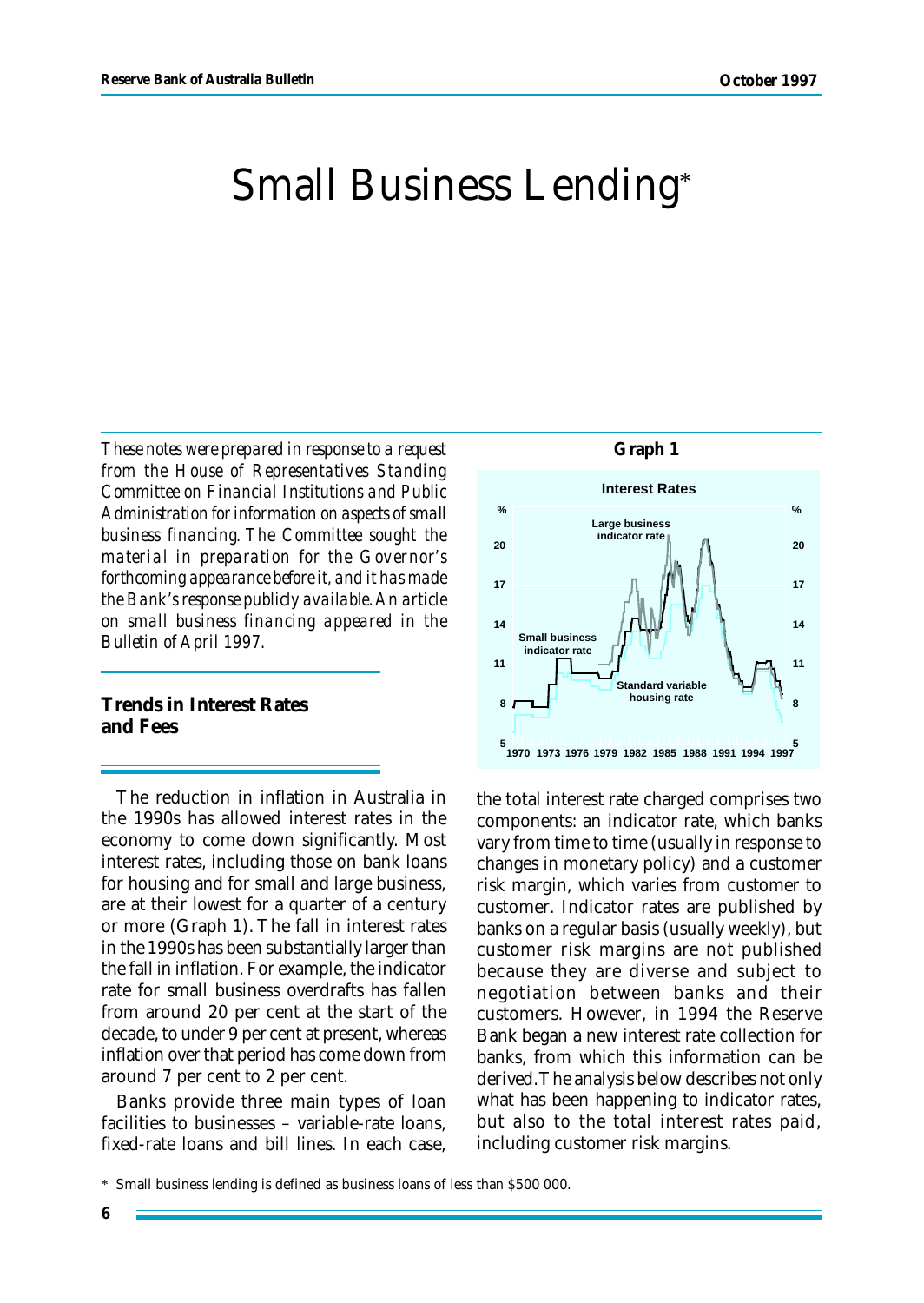# Small Business Lending\*

*These notes were prepared in response to a request from the House of Representatives Standing Committee on Financial Institutions and Public Administration for information on aspects of small business financing. The Committee sought the material in preparation for the Governor's forthcoming appearance before it, and it has made the Bank's response publicly available. An article on small business financing appeared in the Bulletin of April 1997.*

**Trends in Interest Rates and Fees**

The reduction in inflation in Australia in the 1990s has allowed interest rates in the economy to come down significantly. Most interest rates, including those on bank loans for housing and for small and large business, are at their lowest for a quarter of a century or more (Graph 1). The fall in interest rates in the 1990s has been substantially larger than the fall in inflation. For example, the indicator rate for small business overdrafts has fallen from around 20 per cent at the start of the decade, to under 9 per cent at present, whereas inflation over that period has come down from around 7 per cent to 2 per cent.

Banks provide three main types of loan facilities to businesses – variable-rate loans, fixed-rate loans and bill lines. In each case,



the total interest rate charged comprises two components: an indicator rate, which banks vary from time to time (usually in response to changes in monetary policy) and a customer risk margin, which varies from customer to customer. Indicator rates are published by banks on a regular basis (usually weekly), but customer risk margins are not published because they are diverse and subject to negotiation between banks and their customers. However, in 1994 the Reserve Bank began a new interest rate collection for banks, from which this information can be derived. The analysis below describes not only what has been happening to indicator rates, but also to the total interest rates paid, including customer risk margins.

<sup>\*</sup> Small business lending is defined as business loans of less than \$500 000.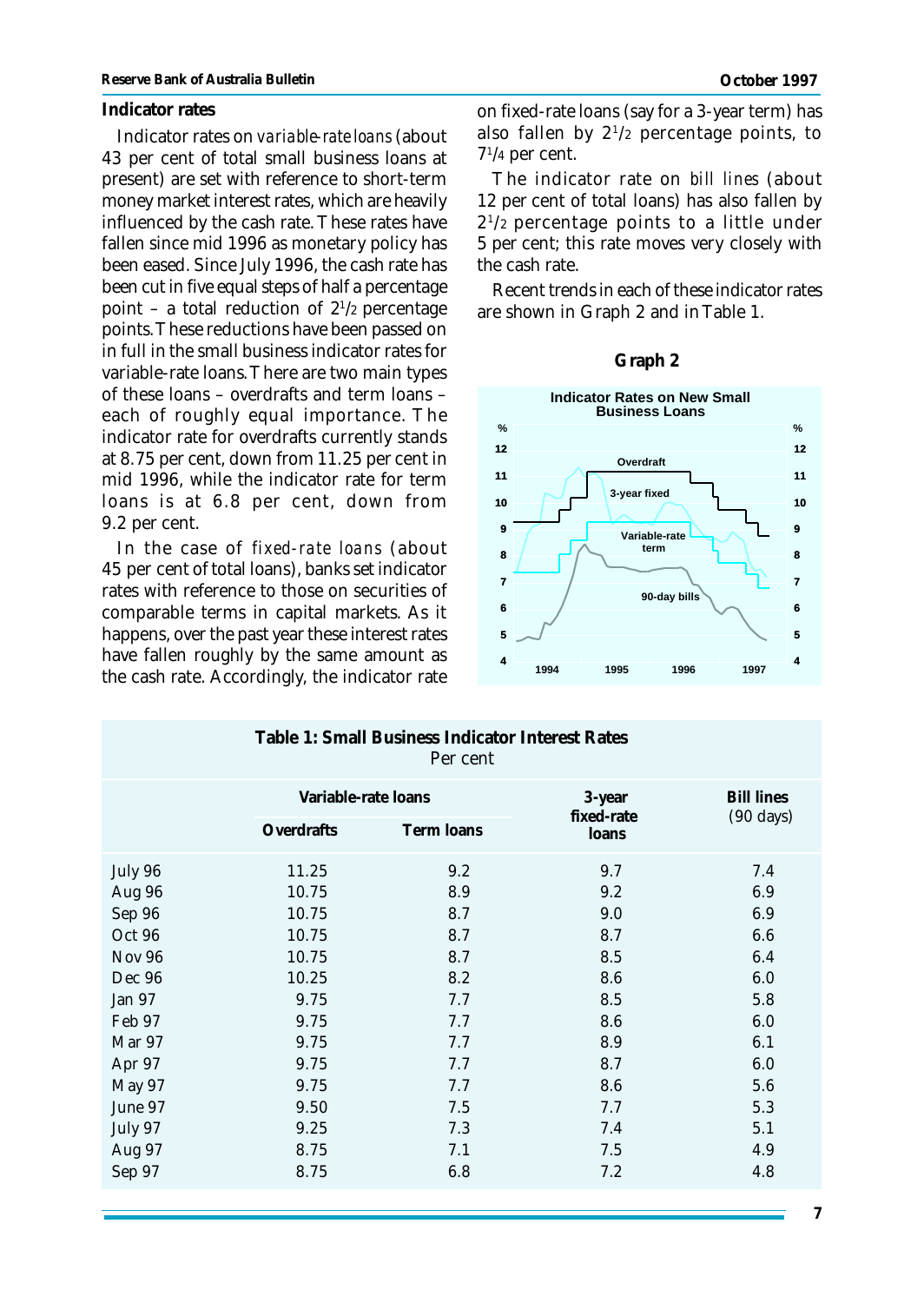#### **Indicator rates**

Indicator rates on *variable-rate loans* (about 43 per cent of total small business loans at present) are set with reference to short-term money market interest rates, which are heavily influenced by the cash rate. These rates have fallen since mid 1996 as monetary policy has been eased. Since July 1996, the cash rate has been cut in five equal steps of half a percentage point – a total reduction of  $2^{1/2}$  percentage points. These reductions have been passed on in full in the small business indicator rates for variable-rate loans. There are two main types of these loans – overdrafts and term loans – each of roughly equal importance. The indicator rate for overdrafts currently stands at 8.75 per cent, down from 11.25 per cent in mid 1996, while the indicator rate for term loans is at 6.8 per cent, down from 9.2 per cent.

In the case of *fixed-rate loans* (about 45 per cent of total loans), banks set indicator rates with reference to those on securities of comparable terms in capital markets. As it happens, over the past year these interest rates have fallen roughly by the same amount as the cash rate. Accordingly, the indicator rate

on fixed-rate loans (say for a 3-year term) has also fallen by 2<sup>1</sup> /2 percentage points, to 7 1 /4 per cent.

The indicator rate on *bill lines* (about 12 per cent of total loans) has also fallen by 2 1 /2 percentage points to a little under 5 per cent; this rate moves very closely with the cash rate.

Recent trends in each of these indicator rates are shown in Graph 2 and in Table 1.

#### **Graph 2**



| Table 1: Small Business Indicator Interest Rates<br>Per cent |                     |            |                      |                                          |  |  |  |
|--------------------------------------------------------------|---------------------|------------|----------------------|------------------------------------------|--|--|--|
|                                                              | Variable-rate loans |            | 3-year<br>fixed-rate | <b>Bill lines</b><br>$(90 \text{ days})$ |  |  |  |
|                                                              | Overdrafts          | Term loans | loans                |                                          |  |  |  |
| July 96                                                      | 11.25               | 9.2        | 9.7                  | 7.4                                      |  |  |  |
| Aug 96                                                       | 10.75               | 8.9        | 9.2                  | 6.9                                      |  |  |  |
| Sep 96                                                       | 10.75               | 8.7        | 9.0                  | 6.9                                      |  |  |  |
| Oct 96                                                       | 10.75               | 8.7        | 8.7                  | 6.6                                      |  |  |  |
| <b>Nov 96</b>                                                | 10.75               | 8.7        | 8.5                  | 6.4                                      |  |  |  |
| Dec 96                                                       | 10.25               | 8.2        | 8.6                  | 6.0                                      |  |  |  |
| Jan 97                                                       | 9.75                | 7.7        | 8.5                  | 5.8                                      |  |  |  |
| Feb 97                                                       | 9.75                | 7.7        | 8.6                  | 6.0                                      |  |  |  |
| Mar 97                                                       | 9.75                | 7.7        | 8.9                  | 6.1                                      |  |  |  |
| Apr 97                                                       | 9.75                | 7.7        | 8.7                  | 6.0                                      |  |  |  |
| May 97                                                       | 9.75                | 7.7        | 8.6                  | 5.6                                      |  |  |  |
| June 97                                                      | 9.50                | 7.5        | 7.7                  | 5.3                                      |  |  |  |
| July 97                                                      | 9.25                | 7.3        | 7.4                  | 5.1                                      |  |  |  |
| Aug 97                                                       | 8.75                | 7.1        | 7.5                  | 4.9                                      |  |  |  |
| Sep 97                                                       | 8.75                | 6.8        | 7.2                  | 4.8                                      |  |  |  |
|                                                              |                     |            |                      |                                          |  |  |  |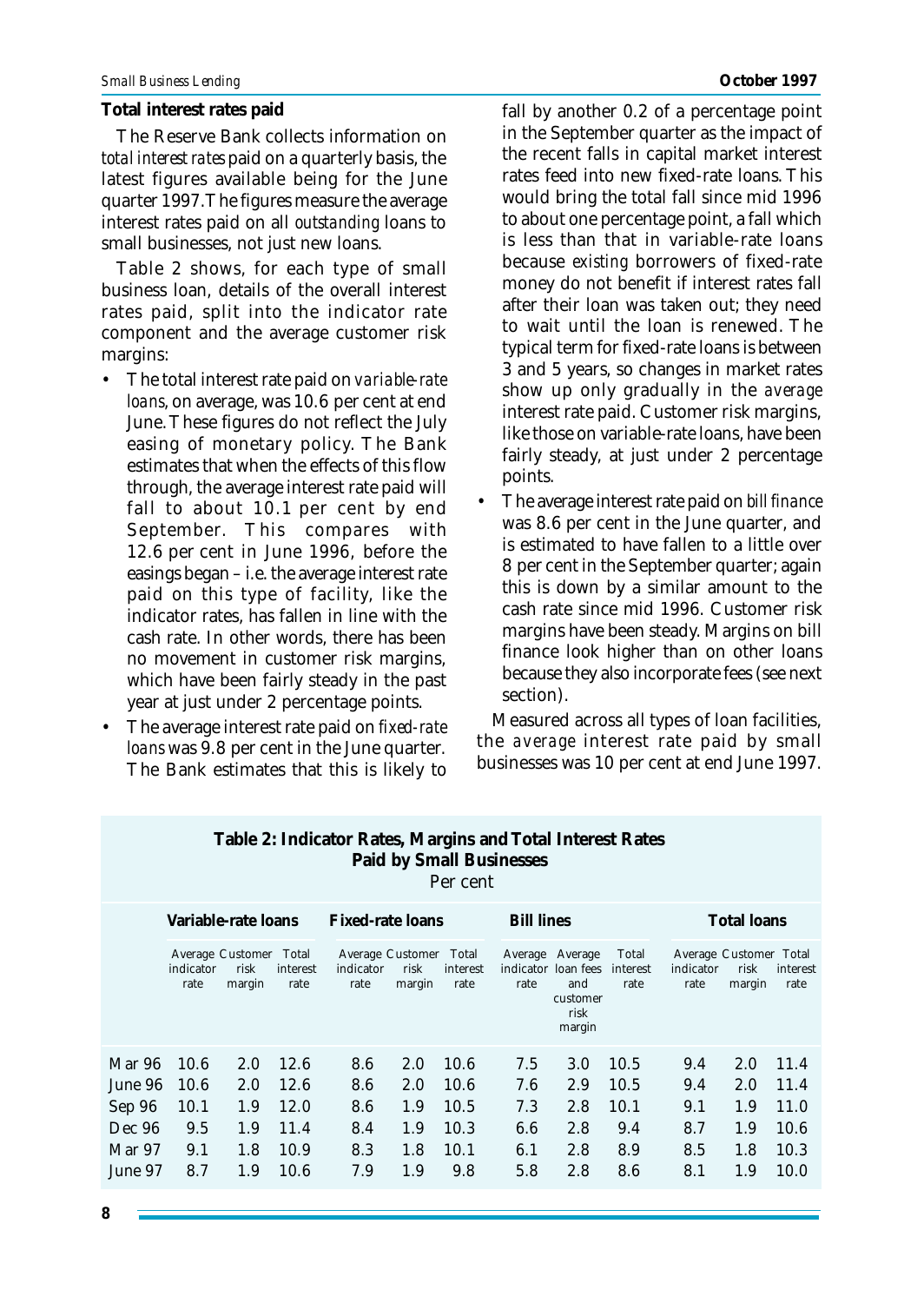#### **Total interest rates paid**

The Reserve Bank collects information on *total interest rates* paid on a quarterly basis, the latest figures available being for the June quarter 1997. The figures measure the average interest rates paid on all *outstanding* loans to small businesses, not just new loans.

Table 2 shows, for each type of small business loan, details of the overall interest rates paid, split into the indicator rate component and the average customer risk margins:

- The total interest rate paid on *variable-rate loans*, on average, was 10.6 per cent at end June. These figures do not reflect the July easing of monetary policy. The Bank estimates that when the effects of this flow through, the average interest rate paid will fall to about 10.1 per cent by end September. This compares with 12.6 per cent in June 1996, before the easings began – i.e. the average interest rate paid on this type of facility, like the indicator rates, has fallen in line with the cash rate. In other words, there has been no movement in customer risk margins, which have been fairly steady in the past year at just under 2 percentage points.
- The average interest rate paid on *fixed-rate loans* was 9.8 per cent in the June quarter. The Bank estimates that this is likely to

fall by another 0.2 of a percentage point in the September quarter as the impact of the recent falls in capital market interest rates feed into new fixed-rate loans. This would bring the total fall since mid 1996 to about one percentage point, a fall which is less than that in variable-rate loans because *existing* borrowers of fixed-rate money do not benefit if interest rates fall after their loan was taken out; they need to wait until the loan is renewed. The typical term for fixed-rate loans is between 3 and 5 years, so changes in market rates show up only gradually in the *average* interest rate paid. Customer risk margins, like those on variable-rate loans, have been fairly steady, at just under 2 percentage points.

• The average interest rate paid on *bill finance* was 8.6 per cent in the June quarter, and is estimated to have fallen to a little over 8 per cent in the September quarter; again this is down by a similar amount to the cash rate since mid 1996. Customer risk margins have been steady. Margins on bill finance look higher than on other loans because they also incorporate fees (see next section).

Measured across all types of loan facilities, the *average* interest rate paid by small businesses was 10 per cent at end June 1997.

| Table 2. Highcarol Ivates, ividigliis and Total Hitelest Ivates<br><b>Paid by Small Businesses</b><br>Per cent |                     |                                          |                  |                         |                                    |                           |                   |                                                                             |                           |                                             |                |                  |
|----------------------------------------------------------------------------------------------------------------|---------------------|------------------------------------------|------------------|-------------------------|------------------------------------|---------------------------|-------------------|-----------------------------------------------------------------------------|---------------------------|---------------------------------------------|----------------|------------------|
|                                                                                                                | Variable-rate loans |                                          |                  | <b>Fixed-rate loans</b> |                                    |                           | <b>Bill lines</b> |                                                                             | <b>Total loans</b>        |                                             |                |                  |
|                                                                                                                | indicator<br>rate   | Average Customer Total<br>risk<br>margin | interest<br>rate | indicator<br>rate       | Average Customer<br>risk<br>margin | Total<br>interest<br>rate | rate              | Average Average<br>indicator loan fees<br>and<br>customer<br>risk<br>margin | Total<br>interest<br>rate | Average Customer Total<br>indicator<br>rate | risk<br>margin | interest<br>rate |
| Mar 96                                                                                                         | 10.6                | 2.0                                      | 12.6             | 8.6                     | 2.0                                | 10.6                      | 7.5               | 3.0                                                                         | 10.5                      | 9.4                                         | 2.0            | 11.4             |
| June 96                                                                                                        | 10.6                | 2.0                                      | 12.6             | 8.6                     | 2.0                                | 10.6                      | 7.6               | 2.9                                                                         | 10.5                      | 9.4                                         | 2.0            | 11.4             |
| Sep 96                                                                                                         | 10.1                | 1.9                                      | 12.0             | 8.6                     | 1.9                                | 10.5                      | 7.3               | 2.8                                                                         | 10.1                      | 9.1                                         | 1.9            | 11.0             |
| Dec 96                                                                                                         | 9.5                 | 1.9                                      | 11.4             | 8.4                     | 1.9                                | 10.3                      | 6.6               | 2.8                                                                         | 9.4                       | 8.7                                         | 1.9            | 10.6             |
| Mar 97                                                                                                         | 9.1                 | 1.8                                      | 10.9             | 8.3                     | 1.8                                | 10.1                      | 6.1               | 2.8                                                                         | 8.9                       | 8.5                                         | 1.8            | 10.3             |
| June 97                                                                                                        | 8.7                 | 1.9                                      | 10.6             | 7.9                     | 1.9                                | 9.8                       | 5.8               | 2.8                                                                         | 8.6                       | 8.1                                         | 1.9            | 10.0             |

# **Table 2: Indicator Rates, Margins and Total Interest Rates**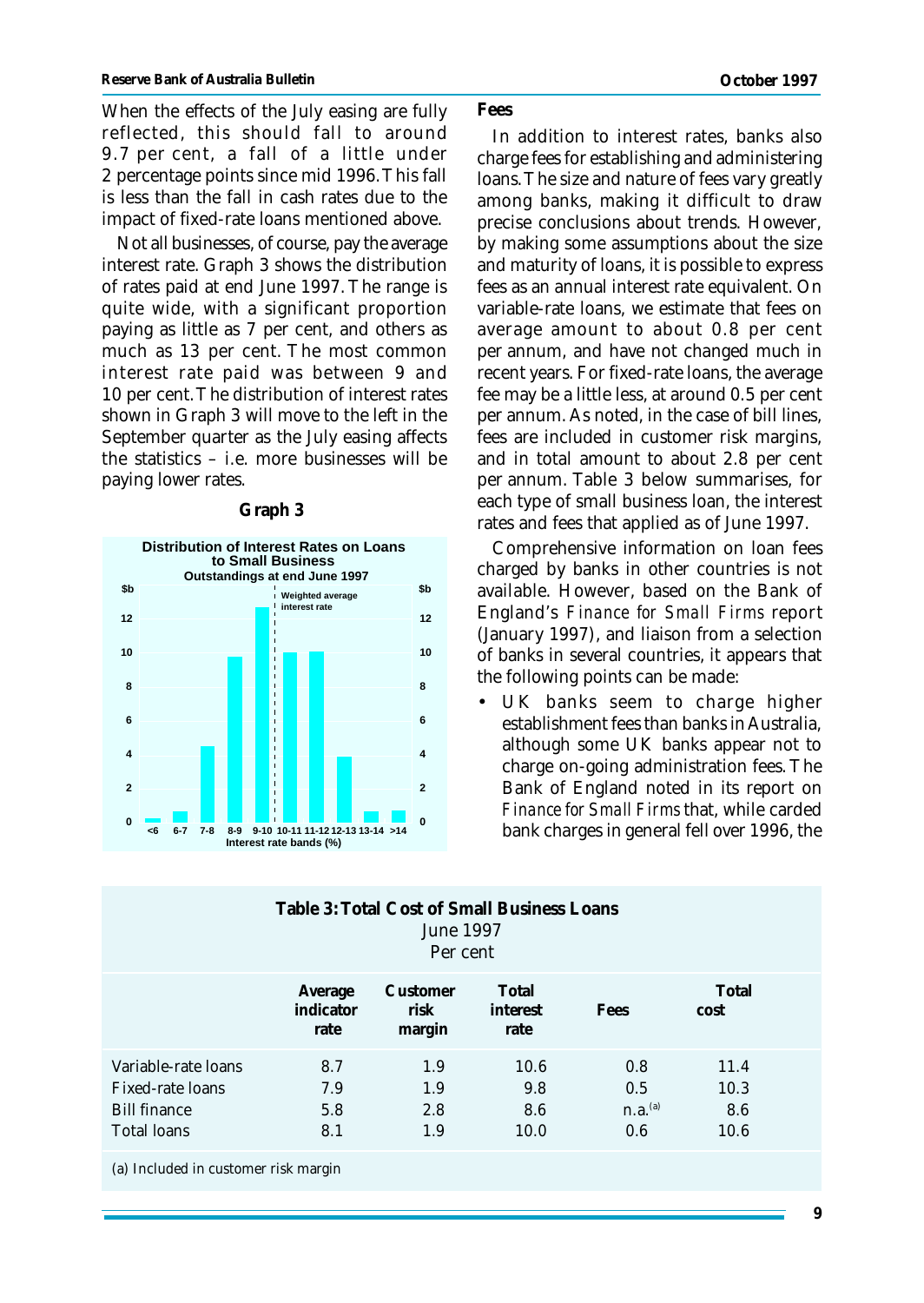When the effects of the July easing are fully reflected, this should fall to around 9.7 per cent, a fall of a little under 2 percentage points since mid 1996. This fall is less than the fall in cash rates due to the impact of fixed-rate loans mentioned above.

Not all businesses, of course, pay the average interest rate. Graph 3 shows the distribution of rates paid at end June 1997. The range is quite wide, with a significant proportion paying as little as 7 per cent, and others as much as 13 per cent. The most common interest rate paid was between 9 and 10 per cent. The distribution of interest rates shown in Graph 3 will move to the left in the September quarter as the July easing affects the statistics – i.e. more businesses will be paying lower rates.



#### **Graph 3**

#### **Fees**

In addition to interest rates, banks also charge fees for establishing and administering loans. The size and nature of fees vary greatly among banks, making it difficult to draw precise conclusions about trends. However, by making some assumptions about the size and maturity of loans, it is possible to express fees as an annual interest rate equivalent. On variable-rate loans, we estimate that fees on average amount to about 0.8 per cent per annum, and have not changed much in recent years. For fixed-rate loans, the average fee may be a little less, at around 0.5 per cent per annum. As noted, in the case of bill lines, fees are included in customer risk margins, and in total amount to about 2.8 per cent per annum. Table 3 below summarises, for each type of small business loan, the interest rates and fees that applied as of June 1997.

Comprehensive information on loan fees charged by banks in other countries is not available. However, based on the Bank of England's *Finance for Small Firms* report (January 1997), and liaison from a selection of banks in several countries, it appears that the following points can be made:

• UK banks seem to charge higher establishment fees than banks in Australia, although some UK banks appear not to charge on-going administration fees. The Bank of England noted in its report on *Finance for Small Firms* that, while carded bank charges in general fell over 1996, the

| Table 3: Total Cost of Small Business Loans<br><b>June 1997</b><br>Per cent          |                              |                            |                            |                                          |                             |  |  |  |
|--------------------------------------------------------------------------------------|------------------------------|----------------------------|----------------------------|------------------------------------------|-----------------------------|--|--|--|
|                                                                                      | Average<br>indicator<br>rate | Customer<br>risk<br>margin | Total<br>interest<br>rate  | Fees                                     | Total<br>cost               |  |  |  |
| Variable-rate loans<br>Fixed-rate loans<br><b>Bill finance</b><br><b>Total loans</b> | 8.7<br>7.9<br>5.8<br>8.1     | 1.9<br>1.9<br>2.8<br>1.9   | 10.6<br>9.8<br>8.6<br>10.0 | 0.8<br>0.5<br>n.a. <sup>(a)</sup><br>0.6 | 11.4<br>10.3<br>8.6<br>10.6 |  |  |  |

(a) Included in customer risk margin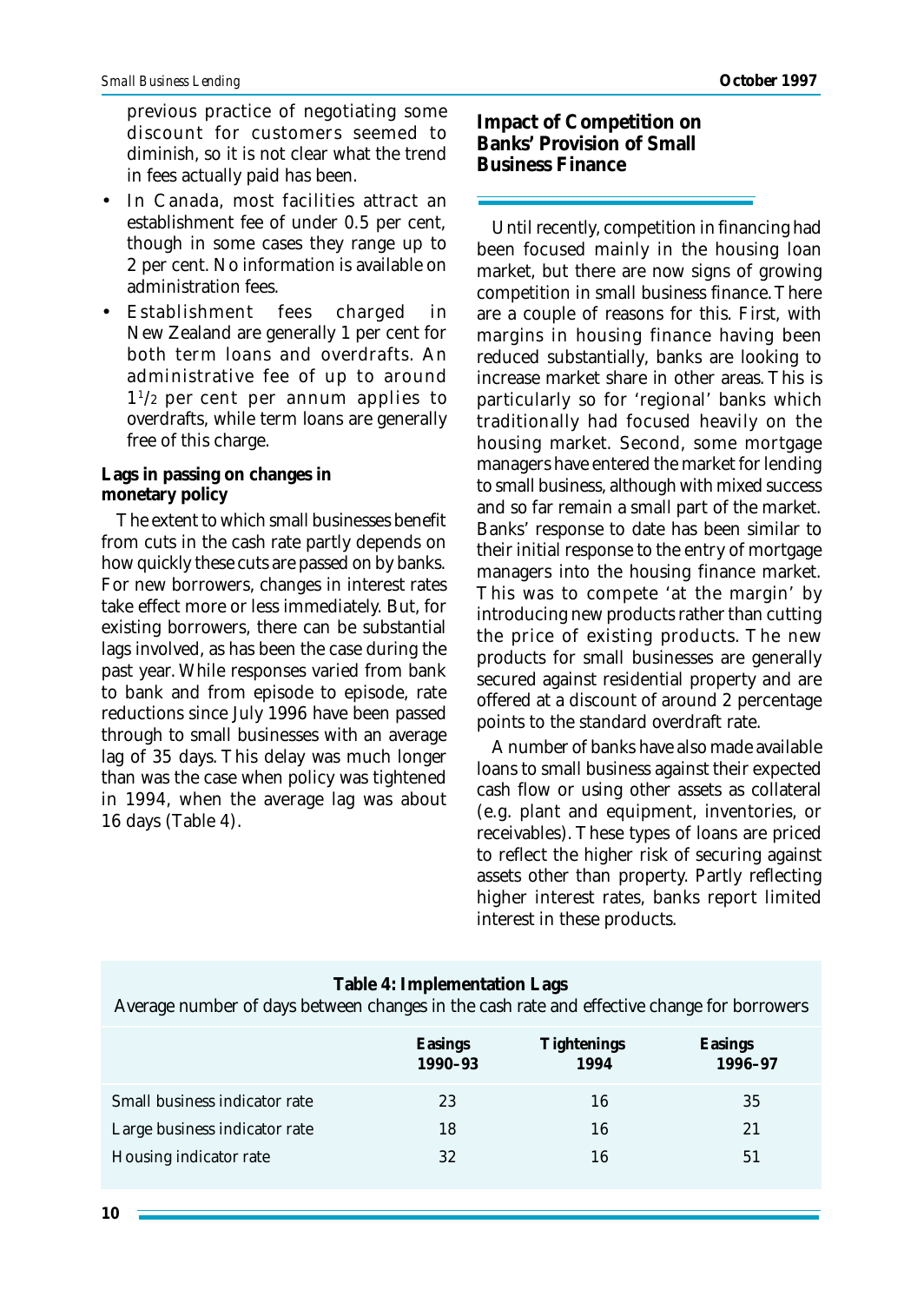previous practice of negotiating some discount for customers seemed to diminish, so it is not clear what the trend in fees actually paid has been.

- In Canada, most facilities attract an establishment fee of under 0.5 per cent, though in some cases they range up to 2 per cent. No information is available on administration fees.
- Establishment fees charged in New Zealand are generally 1 per cent for both term loans and overdrafts. An administrative fee of up to around 1 1 /2 per cent per annum applies to overdrafts, while term loans are generally free of this charge.

### **Lags in passing on changes in monetary policy**

The extent to which small businesses benefit from cuts in the cash rate partly depends on how quickly these cuts are passed on by banks. For new borrowers, changes in interest rates take effect more or less immediately. But, for existing borrowers, there can be substantial lags involved, as has been the case during the past year. While responses varied from bank to bank and from episode to episode, rate reductions since July 1996 have been passed through to small businesses with an average lag of 35 days. This delay was much longer than was the case when policy was tightened in 1994, when the average lag was about 16 days (Table 4).

**Impact of Competition on Banks' Provision of Small Business Finance**

Until recently, competition in financing had been focused mainly in the housing loan market, but there are now signs of growing competition in small business finance. There are a couple of reasons for this. First, with margins in housing finance having been reduced substantially, banks are looking to increase market share in other areas. This is particularly so for 'regional' banks which traditionally had focused heavily on the housing market. Second, some mortgage managers have entered the market for lending to small business, although with mixed success and so far remain a small part of the market. Banks' response to date has been similar to their initial response to the entry of mortgage managers into the housing finance market. This was to compete 'at the margin' by introducing new products rather than cutting the price of existing products. The new products for small businesses are generally secured against residential property and are offered at a discount of around 2 percentage points to the standard overdraft rate.

A number of banks have also made available loans to small business against their expected cash flow or using other assets as collateral (e.g. plant and equipment, inventories, or receivables). These types of loans are priced to reflect the higher risk of securing against assets other than property. Partly reflecting higher interest rates, banks report limited interest in these products.

| Table 4: Implementation Lags<br>Average number of days between changes in the cash rate and effective change for borrowers |                    |                            |                           |  |  |  |  |
|----------------------------------------------------------------------------------------------------------------------------|--------------------|----------------------------|---------------------------|--|--|--|--|
|                                                                                                                            | Easings<br>1990-93 | <b>Tightenings</b><br>1994 | <b>Easings</b><br>1996-97 |  |  |  |  |
| Small business indicator rate                                                                                              | 23                 | 16                         | 35                        |  |  |  |  |
| Large business indicator rate                                                                                              | 18                 | 16                         | 21                        |  |  |  |  |
| Housing indicator rate                                                                                                     | 32                 | 16                         | 51                        |  |  |  |  |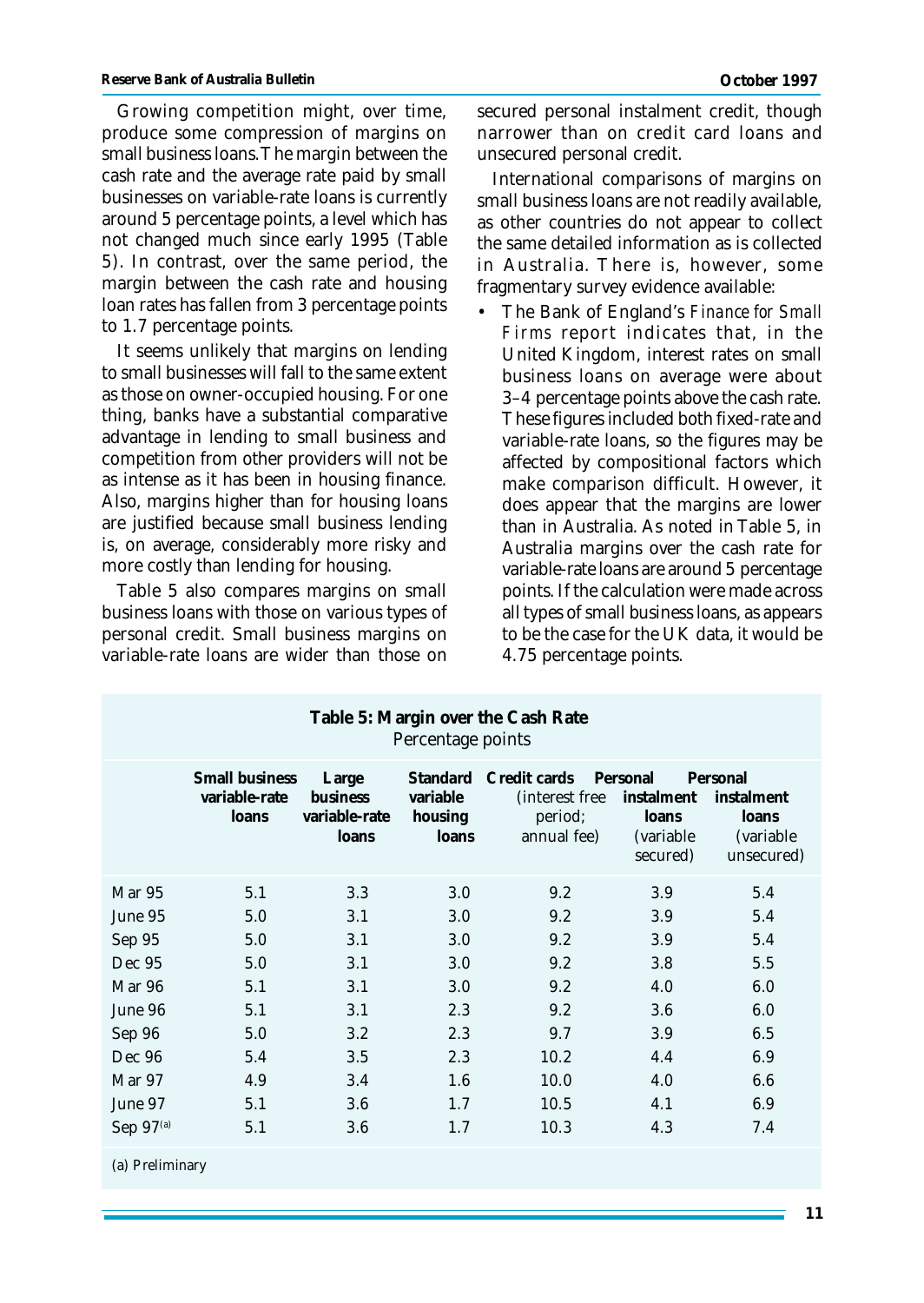Growing competition might, over time, produce some compression of margins on small business loans. The margin between the cash rate and the average rate paid by small businesses on variable-rate loans is currently around 5 percentage points, a level which has not changed much since early 1995 (Table 5). In contrast, over the same period, the margin between the cash rate and housing loan rates has fallen from 3 percentage points to 1.7 percentage points.

It seems unlikely that margins on lending to small businesses will fall to the same extent as those on owner-occupied housing. For one thing, banks have a substantial comparative advantage in lending to small business and competition from other providers will not be as intense as it has been in housing finance. Also, margins higher than for housing loans are justified because small business lending is, on average, considerably more risky and more costly than lending for housing.

Table 5 also compares margins on small business loans with those on various types of personal credit. Small business margins on variable-rate loans are wider than those on secured personal instalment credit, though narrower than on credit card loans and unsecured personal credit.

International comparisons of margins on small business loans are not readily available, as other countries do not appear to collect the same detailed information as is collected in Australia. There is, however, some fragmentary survey evidence available:

• The Bank of England's *Finance for Small Firms* report indicates that, in the United Kingdom, interest rates on small business loans on average were about 3–4 percentage points above the cash rate. These figures included both fixed-rate and variable-rate loans, so the figures may be affected by compositional factors which make comparison difficult. However, it does appear that the margins are lower than in Australia. As noted in Table 5, in Australia margins over the cash rate for variable-rate loans are around 5 percentage points. If the calculation were made across all types of small business loans, as appears to be the case for the UK data, it would be 4.75 percentage points.

| Table 5: Margin over the Cash Rate<br>Percentage points |                                                 |                                                    |                                                 |                                                           |                                                           |                                                                    |  |  |
|---------------------------------------------------------|-------------------------------------------------|----------------------------------------------------|-------------------------------------------------|-----------------------------------------------------------|-----------------------------------------------------------|--------------------------------------------------------------------|--|--|
|                                                         | <b>Small business</b><br>variable-rate<br>loans | Large<br><b>business</b><br>variable-rate<br>loans | <b>Standard</b><br>variable<br>housing<br>loans | Credit cards<br>(interest free)<br>period;<br>annual fee) | Personal<br>instalment<br>loans<br>(variable)<br>secured) | Personal<br>instalment<br>loans<br><i>(variable)</i><br>unsecured) |  |  |
| Mar 95                                                  | 5.1                                             | 3.3                                                | 3.0                                             | 9.2                                                       | 3.9                                                       | 5.4                                                                |  |  |
| June 95                                                 | 5.0                                             | 3.1                                                | 3.0                                             | 9.2                                                       | 3.9                                                       | 5.4                                                                |  |  |
| Sep 95                                                  | 5.0                                             | 3.1                                                | 3.0                                             | 9.2                                                       | 3.9                                                       | 5.4                                                                |  |  |
| Dec 95                                                  | 5.0                                             | 3.1                                                | 3.0                                             | 9.2                                                       | 3.8                                                       | 5.5                                                                |  |  |
| Mar 96                                                  | 5.1                                             | 3.1                                                | 3.0                                             | 9.2                                                       | 4.0                                                       | 6.0                                                                |  |  |
| June 96                                                 | 5.1                                             | 3.1                                                | 2.3                                             | 9.2                                                       | 3.6                                                       | 6.0                                                                |  |  |
| Sep 96                                                  | 5.0                                             | $3.2\,$                                            | 2.3                                             | 9.7                                                       | 3.9                                                       | 6.5                                                                |  |  |
| Dec 96                                                  | 5.4                                             | 3.5                                                | 2.3                                             | 10.2                                                      | 4.4                                                       | 6.9                                                                |  |  |
| Mar 97                                                  | 4.9                                             | 3.4                                                | 1.6                                             | 10.0                                                      | 4.0                                                       | 6.6                                                                |  |  |
| June 97                                                 | 5.1                                             | 3.6                                                | 1.7                                             | 10.5                                                      | 4.1                                                       | 6.9                                                                |  |  |
| Sep $97(a)$                                             | 5.1                                             | 3.6                                                | 1.7                                             | 10.3                                                      | 4.3                                                       | 7.4                                                                |  |  |
| (a) Preliminary                                         |                                                 |                                                    |                                                 |                                                           |                                                           |                                                                    |  |  |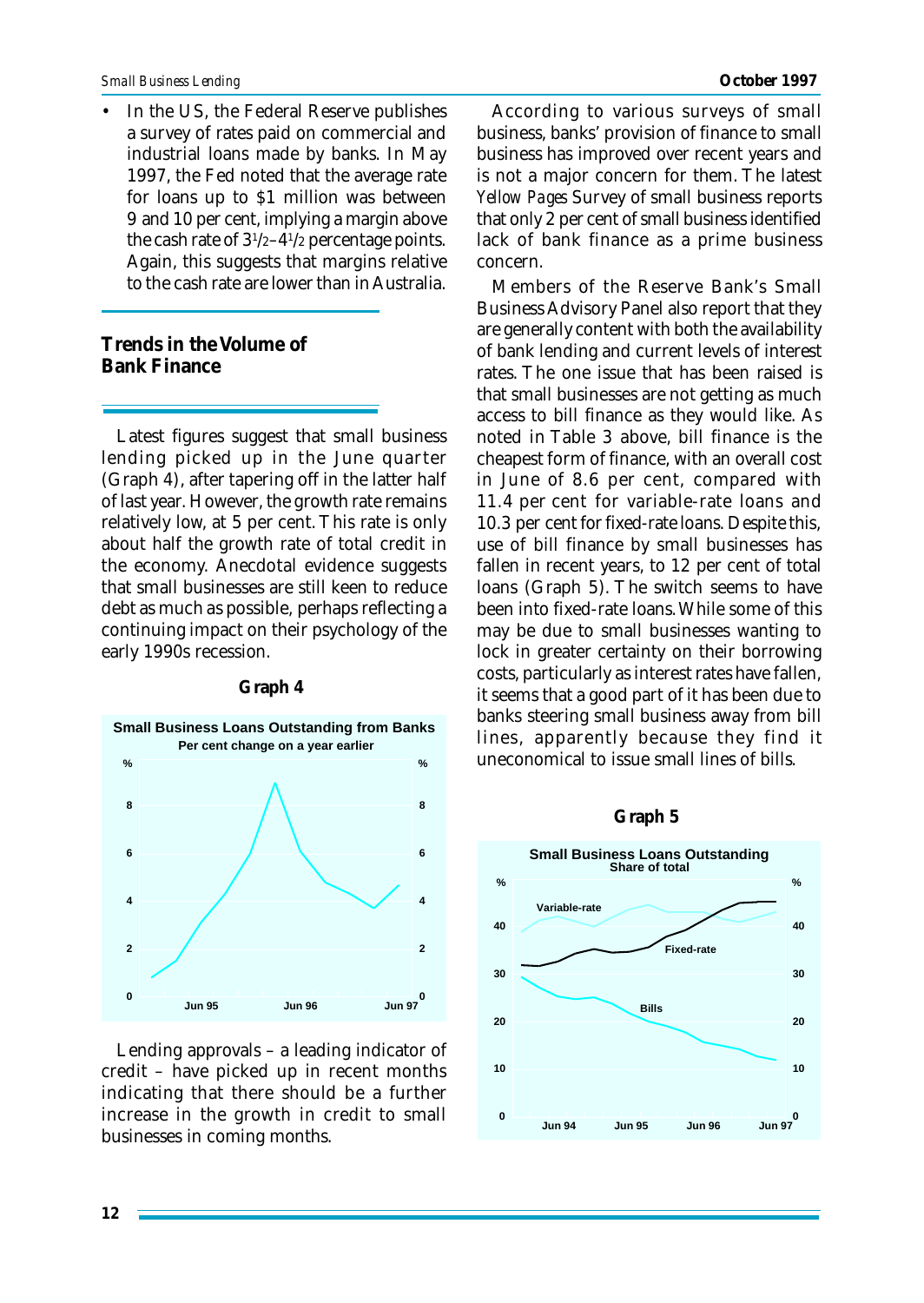In the US, the Federal Reserve publishes a survey of rates paid on commercial and industrial loans made by banks. In May 1997, the Fed noted that the average rate for loans up to \$1 million was between 9 and 10 per cent, implying a margin above the cash rate of  $3^{1/2}-4^{1/2}$  percentage points. Again, this suggests that margins relative to the cash rate are lower than in Australia.

# **Trends in the Volume of Bank Finance**

Latest figures suggest that small business lending picked up in the June quarter (Graph 4), after tapering off in the latter half of last year. However, the growth rate remains relatively low, at 5 per cent. This rate is only about half the growth rate of total credit in the economy. Anecdotal evidence suggests that small businesses are still keen to reduce debt as much as possible, perhaps reflecting a continuing impact on their psychology of the early 1990s recession.



## **Graph 4**

Lending approvals – a leading indicator of credit – have picked up in recent months indicating that there should be a further increase in the growth in credit to small businesses in coming months.

According to various surveys of small business, banks' provision of finance to small business has improved over recent years and is not a major concern for them. The latest *Yellow Pages* Survey of small business reports that only 2 per cent of small business identified lack of bank finance as a prime business concern.

Members of the Reserve Bank's Small Business Advisory Panel also report that they are generally content with both the availability of bank lending and current levels of interest rates. The one issue that has been raised is that small businesses are not getting as much access to bill finance as they would like. As noted in Table 3 above, bill finance is the cheapest form of finance, with an overall cost in June of 8.6 per cent, compared with 11.4 per cent for variable-rate loans and 10.3 per cent for fixed-rate loans. Despite this, use of bill finance by small businesses has fallen in recent years, to 12 per cent of total loans (Graph 5). The switch seems to have been into fixed-rate loans. While some of this may be due to small businesses wanting to lock in greater certainty on their borrowing costs, particularly as interest rates have fallen, it seems that a good part of it has been due to banks steering small business away from bill lines, apparently because they find it uneconomical to issue small lines of bills.

#### **Graph 5**